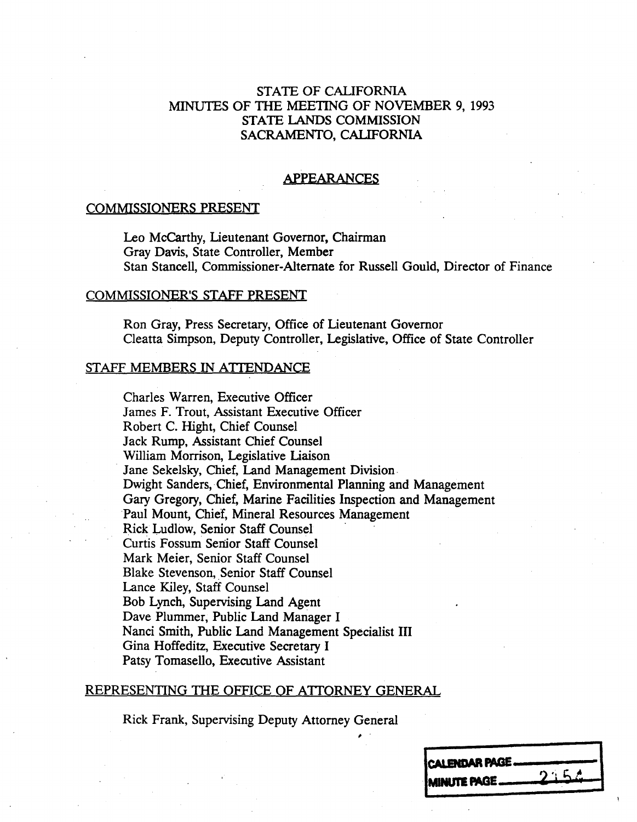### STATE OF CALIFORNIA MINUTES OF THE MEETING OF NOVEMBER 9, 1993 STATE LANDS COMMISSION SACRAMENTO, CALIFORNIA

#### APPEARANCES

#### COMMISSIONERS PRESENT

Leo Mccarthy, Lieutenant Governor, Chairman Gray Davis, State Controller, Member Stan Stancell, Commissioner-Alternate for Russell Gould, Director of Finance

#### COMMISSIONER'S STAFF PRESENT

Ron Gray, Fress Secretary, Office of Lieutenant Governor Cleatta Simpson, Deputy Controller, Legislative, Office of State Controller

### STAFF MEMBERS IN ATTENDANCE

Charles Warren, Executive Officer James F. Trout, Assistant Executive Officer Robert C. Hight, Chief Counsel Jack Rump, Assistant Chief Counsel William Morrison, Legislative Liaison Jane Sekelsky, Chief, Land Management Division Dwight Sanders, Chief, Environmental Planning and Management Gary Gregory, Chief, Marine Facilities Inspection and Management Paul Mount, Chief, Mineral Resources Management Rick Ludlow, Senior Staff Counsel Curtis Fossum Senior Staff Counsel Mark Meier, Senior Staff Counse. Blake Stevenson, Senior Staff Counsel Lance Kiley, Staff Counsel Bob Lynch, Supervising Land Agent Dave Plummer, Public Land Manager I Nanci Smith, Public Land Management Specialist III Gina Hoffeditz, Executive Secretary I Patsy Tomasello, Executive Assistant

#### REPRESENTING THE OFFICE OF ATTORNEY GENERAL

Rick Frank, Supervising Deputy Attorney General

| CALENDAR PAGE |       |
|---------------|-------|
|               |       |
| MINUTE PAGE_  | 2.5.2 |
|               |       |
|               |       |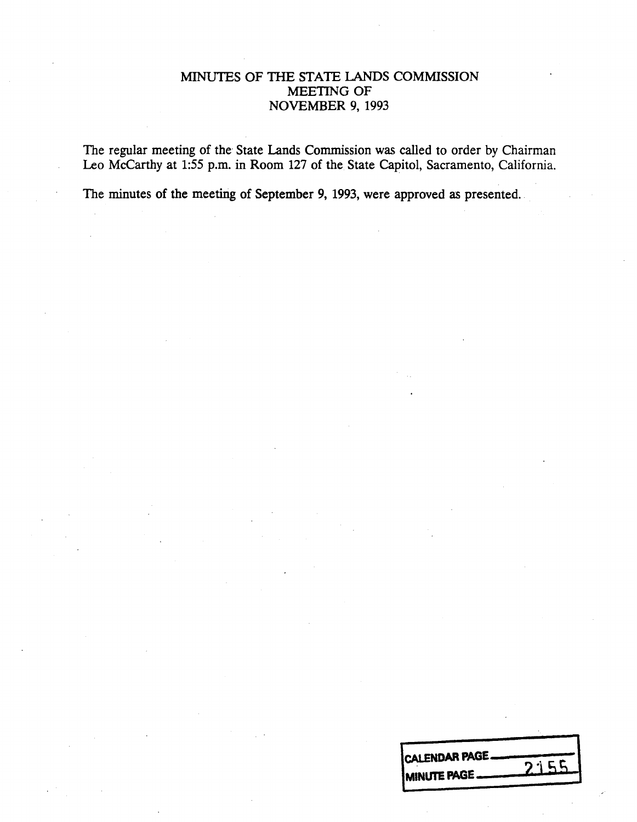# MINUTES OF THE STATE LANDS COMMISSION MEETING OF NOVEMBER 9, 1993

The regular meeting of the State Lands Commission was called to order by Chairman Leo Mccarthy at 1:55 p.m. in Room 127 of the State Capitol, Sacramento, California.

The minutes of the meeting of September 9, 1993, were approved as presented.

| CALENDAR PAGE. |      |
|----------------|------|
|                | 2155 |
| MINUTE PAGE_   |      |
|                |      |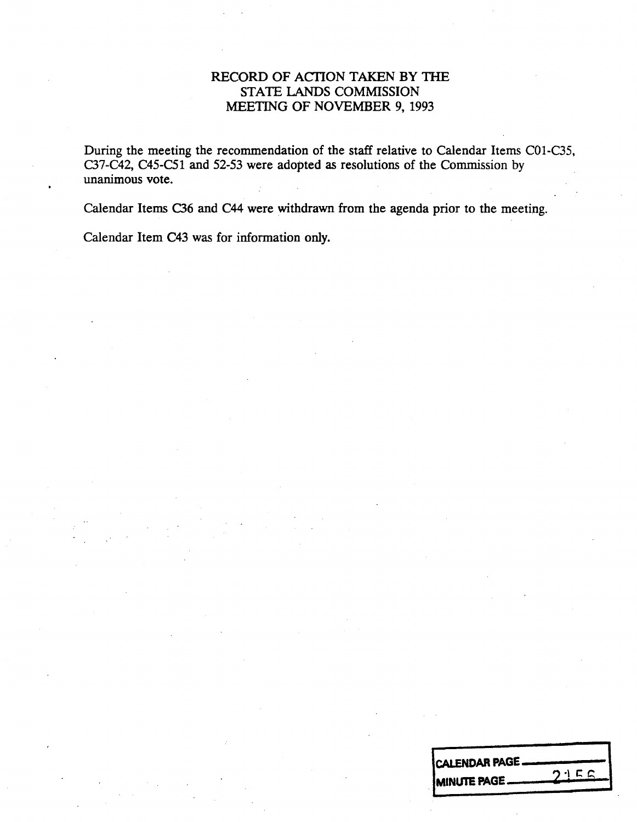# RECORD OF ACTION TAKEN BY THE STATE LANDS COMMISSION MEETING OF NOVEMBER 9, 1993

During the meeting the recommendation of the staff relative to Calendar Items CO1-C35, C37-C42, C45-C51 and 52-53 were adopted as resolutions of the Commission by unanimous vote.

Calendar Items C36 and C44 were withdrawn from the agenda prior to the meeting.

Calendar Item C43 was for information only.

| <b>CALENDAR PAGE.</b> |      |
|-----------------------|------|
| <b>IMINUTE PAGE </b>  | つりにに |